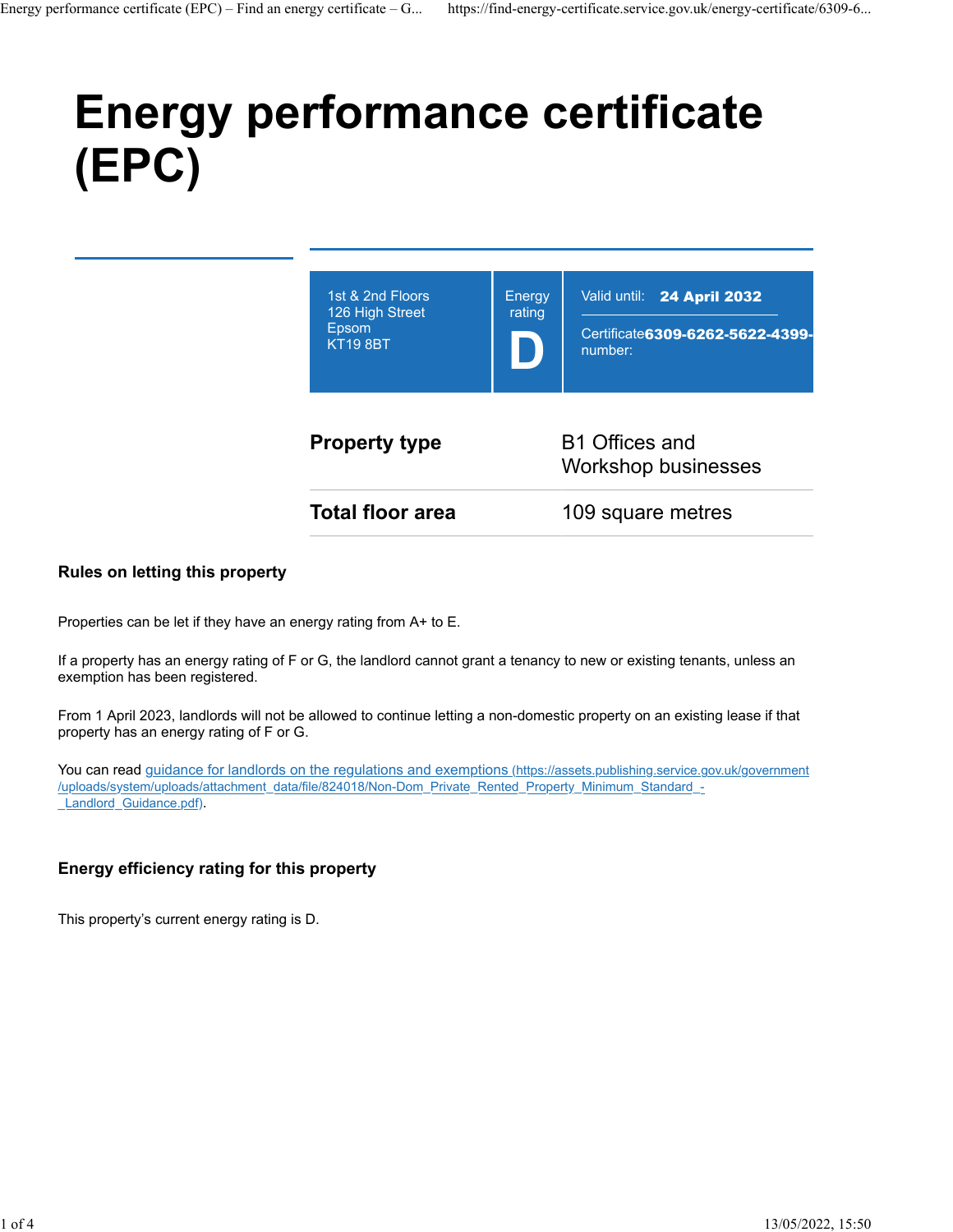# **Energy performance certificate (EPC)**

| 1st & 2nd Floors<br>126 High Street<br>Epsom<br><b>KT19 8BT</b> | Energy<br>rating                             | Valid until: 24 April 2032<br>Certificate 6309-6262-5622-4399-<br>number: |
|-----------------------------------------------------------------|----------------------------------------------|---------------------------------------------------------------------------|
| <b>Property type</b>                                            | B1 Offices and<br><b>Workshop businesses</b> |                                                                           |
| <b>Total floor area</b>                                         | 109 square metres                            |                                                                           |
|                                                                 |                                              |                                                                           |

#### **Rules on letting this property**

Properties can be let if they have an energy rating from A+ to E.

If a property has an energy rating of F or G, the landlord cannot grant a tenancy to new or existing tenants, unless an exemption has been registered.

From 1 April 2023, landlords will not be allowed to continue letting a non-domestic property on an existing lease if that property has an energy rating of F or G.

You can read [guidance for landlords on the regulations and exemptions \(https://assets.publishing.service.gov.uk/government](https://assets.publishing.service.gov.uk/government/uploads/system/uploads/attachment_data/file/824018/Non-Dom_Private_Rented_Property_Minimum_Standard_-_Landlord_Guidance.pdf) [/uploads/system/uploads/attachment\\_data/file/824018/Non-Dom\\_Private\\_Rented\\_Property\\_Minimum\\_Standard\\_-](https://assets.publishing.service.gov.uk/government/uploads/system/uploads/attachment_data/file/824018/Non-Dom_Private_Rented_Property_Minimum_Standard_-_Landlord_Guidance.pdf) Landlord Guidance.pdf).

#### **Energy efficiency rating for this property**

This property's current energy rating is D.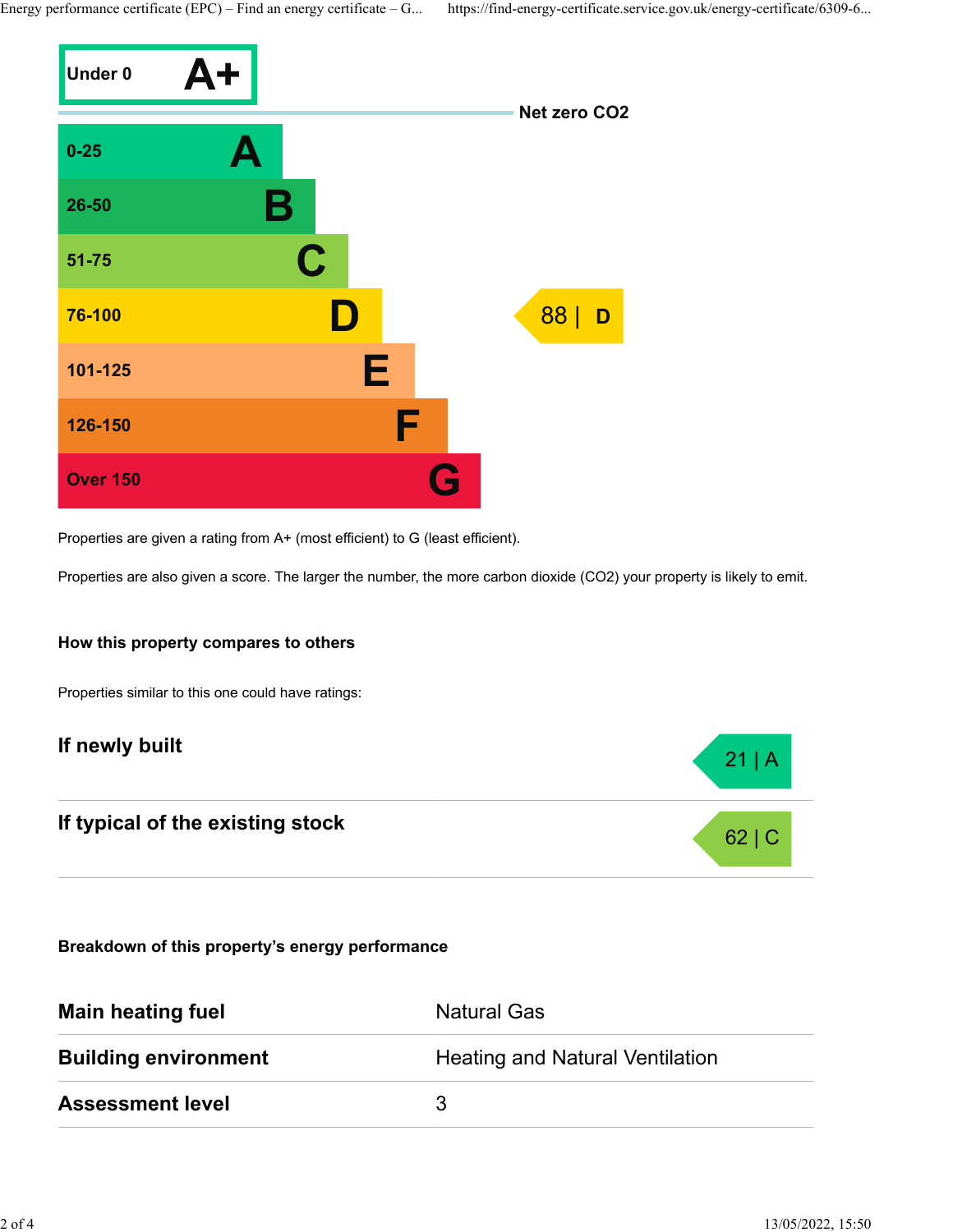Energy performance certificate (EPC) – Find an energy certificate – G... https://find-energy-certificate.service.gov.uk/energy-certificate/6309-6...



Properties are given a rating from A+ (most efficient) to G (least efficient).

Properties are also given a score. The larger the number, the more carbon dioxide (CO2) your property is likely to emit.

#### **How this property compares to others**

Properties similar to this one could have ratings:

## **If newly built** 21 | A

# **If typical of the existing stock** 62 | C

**Breakdown of this property's energy performance**

| <b>Main heating fuel</b>    | <b>Natural Gas</b>                     |
|-----------------------------|----------------------------------------|
| <b>Building environment</b> | <b>Heating and Natural Ventilation</b> |
| <b>Assessment level</b>     | 3                                      |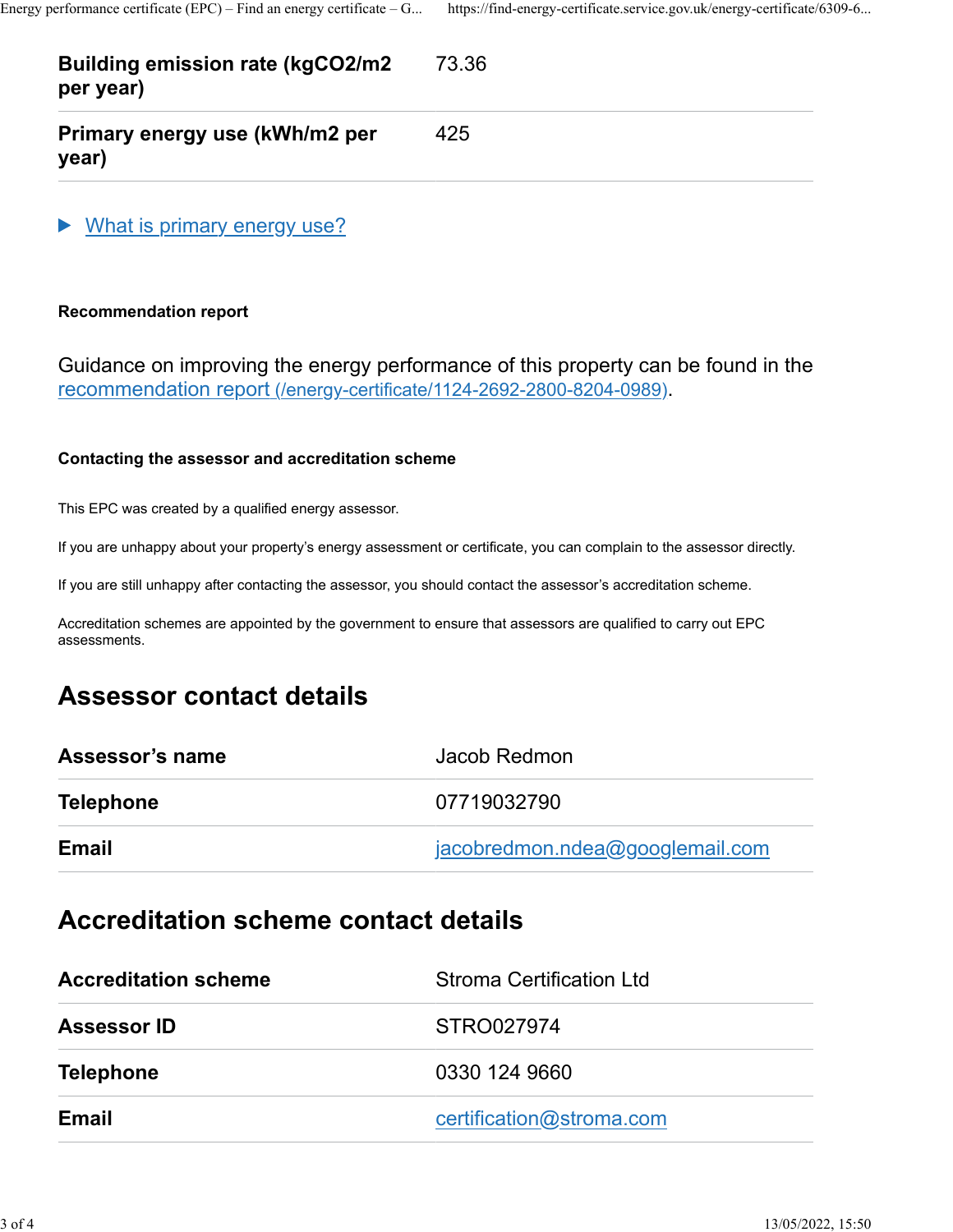#### **Building emission rate (kgCO2/m2 per year)** 73.36

**Primary energy use (kWh/m2 per year)**

What is primary energy use?

#### **Recommendation report**

Guidance on improving the energy performance of this property can be found in the [recommendation report \(/energy-certificate/1124-2692-2800-8204-0989\).](https://find-energy-certificate.service.gov.uk/energy-certificate/1124-2692-2800-8204-0989)

425

#### **Contacting the assessor and accreditation scheme**

This EPC was created by a qualified energy assessor.

If you are unhappy about your property's energy assessment or certificate, you can complain to the assessor directly.

If you are still unhappy after contacting the assessor, you should contact the assessor's accreditation scheme.

Accreditation schemes are appointed by the government to ensure that assessors are qualified to carry out EPC assessments.

## **Assessor contact details**

| Assessor's name  | Jacob Redmon                    |
|------------------|---------------------------------|
| <b>Telephone</b> | 07719032790                     |
| <b>Email</b>     | jacobredmon.ndea@googlemail.com |

### **Accreditation scheme contact details**

| <b>Accreditation scheme</b> | <b>Stroma Certification Ltd</b> |
|-----------------------------|---------------------------------|
| <b>Assessor ID</b>          | STRO027974                      |
| <b>Telephone</b>            | 0330 124 9660                   |
| Email                       | certification@stroma.com        |